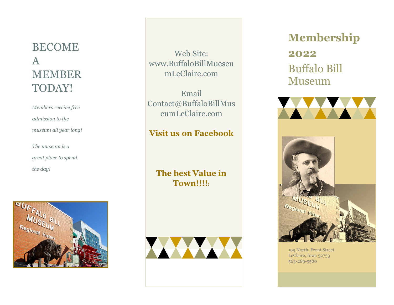## BECOME A MEMBER TODAY!

*Members receive free admission to the museum all year long! The museum is a* 

*great place to spend the day!* 



Web Site: www.BuffaloBillMueseu mLeClaire.com

Email Contact@BuffaloBillMus eumLeClaire.com

**Visit us on Facebook**

**The best Value in Town!!!!!**



## **Membership 2022** Buffalo Bill Museum



199 North Front Street LeClaire, Iowa 52753 563-289-5580